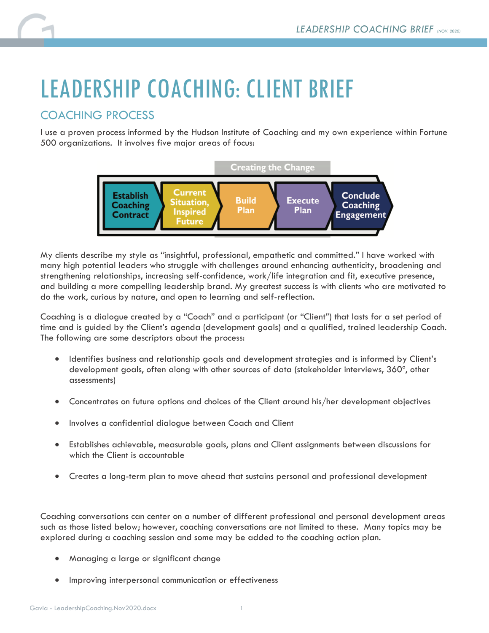## LEADERSHIP COACHING: CLIENT BRIEF

## COACHING PROCESS

I use a proven process informed by the Hudson Institute of Coaching and my own experience within Fortune 500 organizations. It involves five major areas of focus:



My clients describe my style as "insightful, professional, empathetic and committed." I have worked with many high potential leaders who struggle with challenges around enhancing authenticity, broadening and strengthening relationships, increasing self-confidence, work/life integration and fit, executive presence, and building a more compelling leadership brand. My greatest success is with clients who are motivated to do the work, curious by nature, and open to learning and self-reflection.

Coaching is a dialogue created by a "Coach" and a participant (or "Client") that lasts for a set period of time and is guided by the Client's agenda (development goals) and a qualified, trained leadership Coach. The following are some descriptors about the process:

- Identifies business and relationship goals and development strategies and is informed by Client's development goals, often along with other sources of data (stakeholder interviews, 360º, other assessments)
- Concentrates on future options and choices of the Client around his/her development objectives
- Involves a confidential dialogue between Coach and Client
- Establishes achievable, measurable goals, plans and Client assignments between discussions for which the Client is accountable
- Creates a long-term plan to move ahead that sustains personal and professional development

Coaching conversations can center on a number of different professional and personal development areas such as those listed below; however, coaching conversations are not limited to these. Many topics may be explored during a coaching session and some may be added to the coaching action plan.

- Managing a large or significant change
- Improving interpersonal communication or effectiveness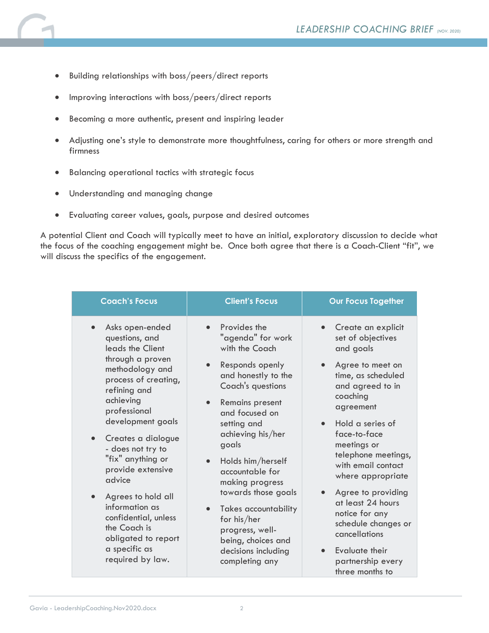- Building relationships with boss/peers/direct reports
- Improving interactions with boss/peers/direct reports
- Becoming a more authentic, present and inspiring leader
- Adjusting one's style to demonstrate more thoughtfulness, caring for others or more strength and firmness
- Balancing operational tactics with strategic focus
- Understanding and managing change
- Evaluating career values, goals, purpose and desired outcomes

A potential Client and Coach will typically meet to have an initial, exploratory discussion to decide what the focus of the coaching engagement might be. Once both agree that there is a Coach-Client "fit", we will discuss the specifics of the engagement.

| <b>Coach's Focus</b>                                                                                                                                                                                                                                                                                                                                                                                                                                        | <b>Client's Focus</b>                                                                                                                                                                                                                                                                                                                                                                                                               | <b>Our Focus Together</b>                                                                                                                                                                                                                                                                                                                                                                                                                                 |
|-------------------------------------------------------------------------------------------------------------------------------------------------------------------------------------------------------------------------------------------------------------------------------------------------------------------------------------------------------------------------------------------------------------------------------------------------------------|-------------------------------------------------------------------------------------------------------------------------------------------------------------------------------------------------------------------------------------------------------------------------------------------------------------------------------------------------------------------------------------------------------------------------------------|-----------------------------------------------------------------------------------------------------------------------------------------------------------------------------------------------------------------------------------------------------------------------------------------------------------------------------------------------------------------------------------------------------------------------------------------------------------|
| Asks open-ended<br>$\bullet$<br>questions, and<br>leads the Client<br>through a proven<br>methodology and<br>process of creating,<br>refining and<br>achieving<br>professional<br>development goals<br>Creates a dialogue<br>$\bullet$<br>- does not try to<br>"fix" anything or<br>provide extensive<br>advice<br>Agrees to hold all<br>information as<br>confidential, unless<br>the Coach is<br>obligated to report<br>a specific as<br>required by law. | Provides the<br>"agenda" for work<br>with the Coach<br>Responds openly<br>and honestly to the<br>Coach's questions<br>Remains present<br>and focused on<br>setting and<br>achieving his/her<br>goals<br>Holds him/herself<br>$\bullet$<br>accountable for<br>making progress<br>towards those goals<br><b>Takes accountability</b><br>for his/her<br>progress, well-<br>being, choices and<br>decisions including<br>completing any | Create an explicit<br>set of objectives<br>and goals<br>Agree to meet on<br>time, as scheduled<br>and agreed to in<br>coaching<br>agreement<br>Hold a series of<br>$\bullet$<br>face-to-face<br>meetings or<br>telephone meetings,<br>with email contact<br>where appropriate<br>Agree to providing<br>at least 24 hours<br>notice for any<br>schedule changes or<br>cancellations<br>Evaluate their<br>$\bullet$<br>partnership every<br>three months to |